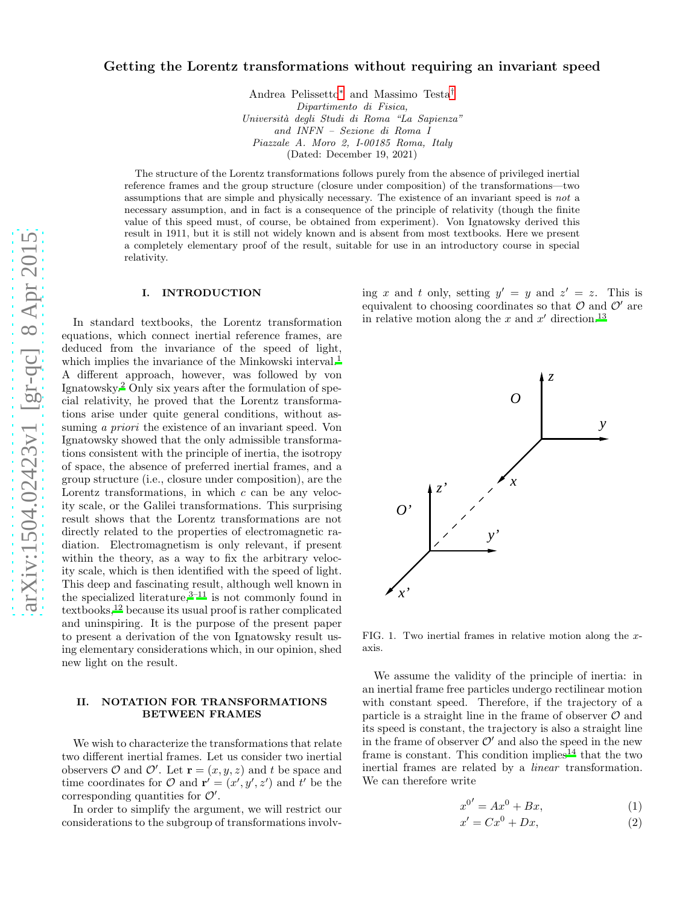# Getting the Lorentz transformations without requiring an invariant speed

Andrea Pelissetto [∗](#page-2-0) and Massimo Testa [†](#page-2-1) *Dipartimento di Fisica, Universit`a degli Studi di Roma "La Sapienza" and INFN – Sezione di Roma I Piazzale A. Moro 2, I-00185 Roma, Italy* (Dated: December 19, 2021)

The structure of the Lorentz transformations follows purely from the absence of privileged inertial reference frames and the group structure (closure under composition) of the transformations—two assumptions that are simple and physically necessary. The existence of an invariant speed is *not* a necessary assumption, and in fact is a consequence of the principle of relativity (though the finite value of this speed must, of course, be obtained from experiment). Von Ignatowsky derived this result in 1911, but it is still not widely known and is absent from most textbooks. Here we present a completely elementary proof of the result, suitable for use in an introductory course in special relativity.

### I. INTRODUCTION

In standard textbooks, the Lorentz transformation equations, which connect inertial reference frames, are deduced from the invariance of the speed of light, which implies the invariance of the Minkowski interval[.](#page-2-2)<sup>1</sup> A different approach, however, was followed by von Ignatowsky[.](#page-2-3) <sup>2</sup> Only six years after the formulation of special relativity, he proved that the Lorentz transformations arise under quite general conditions, without assuming *a priori* the existence of an invariant speed. Von Ignatowsky showed that the only admissible transformations consistent with the principle of inertia, the isotropy of space, the absence of preferred inertial frames, and a group structure (i.e., closure under composition), are the Lorentz transformations, in which c can be any velocity scale, or the Galilei transformations. This surprising result shows that the Lorentz transformations are not directly related to the properties of electromagnetic radiation. Electromagnetism is only relevant, if present within the theory, as a way to fix the arbitrary velocity scale, which is then identified with the speed of light. This deep and fascinating result, although well known in the specialized literature[,](#page-2-4) $3-11$  is not commonly found in textbooks[,](#page-3-0)<sup>12</sup> because its usual proof is rather complicated and uninspiring. It is the purpose of the present paper to present a derivation of the von Ignatowsky result using elementary considerations which, in our opinion, shed new light on the result.

## II. NOTATION FOR TRANSFORMATIONS BETWEEN FRAMES

We wish to characterize the transformations that relate two different inertial frames. Let us consider two inertial observers  $\mathcal O$  and  $\mathcal O'$ . Let  $\mathbf r = (x, y, z)$  and t be space and time coordinates for  $\mathcal{O}$  and  $\mathbf{r}' = (x', y', z')$  and  $t'$  be the corresponding quantities for  $\mathcal{O}'$ .

In order to simplify the argument, we will restrict our considerations to the subgroup of transformations involving x and t only, setting  $y' = y$  and  $z' = z$ . This is equivalent to choosing coordinates so that  $\mathcal O$  and  $\mathcal O'$  are in relative motion along the x and  $x'$  direction[.](#page-3-1)<sup>13</sup>



FIG. 1. Two inertial frames in relative motion along the  $x$ axis.

We assume the validity of the principle of inertia: in an inertial frame free particles undergo rectilinear motion with constant speed. Therefore, if the trajectory of a particle is a straight line in the frame of observer  $\mathcal O$  and its speed is constant, the trajectory is also a straight line in the frame of observer  $\mathcal{O}'$  and also the speed in the new frame i[s](#page-3-2) constant. This condition implies<sup>14</sup> that the two inertial frames are related by a linear transformation. We can therefore write

<span id="page-0-0"></span>
$$
x^{0'} = Ax^0 + Bx,\tag{1}
$$

$$
x' = Cx^0 + Dx,\t\t(2)
$$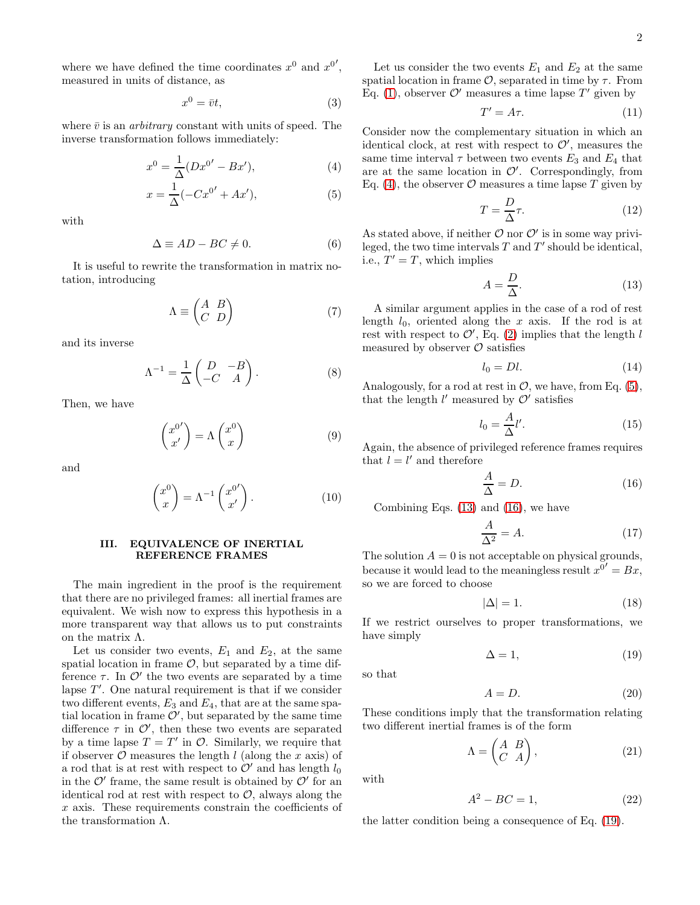where we have defined the time coordinates  $x^0$  and  $x^{0'}$ , measured in units of distance, as

<span id="page-1-6"></span>
$$
x^0 = \bar{v}t,\tag{3}
$$

where  $\bar{v}$  is an *arbitrary* constant with units of speed. The inverse transformation follows immediately:

<span id="page-1-0"></span>
$$
x^{0} = \frac{1}{\Delta}(Dx^{0'} - Bx'),
$$
 (4)

$$
x = \frac{1}{\Delta}(-Cx^{0'} + Ax'),
$$
 (5)

with

$$
\Delta \equiv AD - BC \neq 0. \tag{6}
$$

It is useful to rewrite the transformation in matrix notation, introducing

$$
\Lambda \equiv \begin{pmatrix} A & B \\ C & D \end{pmatrix} \tag{7}
$$

and its inverse

$$
\Lambda^{-1} = \frac{1}{\Delta} \begin{pmatrix} D & -B \\ -C & A \end{pmatrix} . \tag{8}
$$

Then, we have

$$
\begin{pmatrix} x^{0'} \\ x' \end{pmatrix} = \Lambda \begin{pmatrix} x^0 \\ x \end{pmatrix} \tag{9}
$$

and

$$
\begin{pmatrix} x^0 \\ x \end{pmatrix} = \Lambda^{-1} \begin{pmatrix} x^{0'} \\ x' \end{pmatrix} . \tag{10}
$$

#### III. EQUIVALENCE OF INERTIAL REFERENCE FRAMES

The main ingredient in the proof is the requirement that there are no privileged frames: all inertial frames are equivalent. We wish now to express this hypothesis in a more transparent way that allows us to put constraints on the matrix Λ.

Let us consider two events,  $E_1$  and  $E_2$ , at the same spatial location in frame  $\mathcal{O}$ , but separated by a time difference  $\tau$ . In  $\mathcal{O}'$  the two events are separated by a time lapse  $T'$ . One natural requirement is that if we consider two different events,  $E_3$  and  $E_4$ , that are at the same spatial location in frame  $\mathcal{O}'$ , but separated by the same time difference  $\tau$  in  $\mathcal{O}'$ , then these two events are separated by a time lapse  $T = T'$  in  $\mathcal{O}$ . Similarly, we require that if observer  $\mathcal O$  measures the length l (along the x axis) of a rod that is at rest with respect to  $\mathcal{O}'$  and has length  $l_0$ in the  $\mathcal{O}'$  frame, the same result is obtained by  $\mathcal{O}'$  for an identical rod at rest with respect to  $\mathcal{O}$ , always along the x axis. These requirements constrain the coefficients of the transformation Λ.

Let us consider the two events  $E_1$  and  $E_2$  at the same spatial location in frame  $\mathcal{O}$ , separated in time by  $\tau$ . From Eq. [\(1\)](#page-0-0), observer  $\mathcal{O}'$  measures a time lapse  $T'$  given by

$$
T' = A\tau.
$$
 (11)

Consider now the complementary situation in which an identical clock, at rest with respect to  $\mathcal{O}'$ , measures the same time interval  $\tau$  between two events  $E_3$  and  $E_4$  that are at the same location in  $\mathcal{O}'$ . Correspondingly, from Eq. [\(4\)](#page-1-0), the observer  $\mathcal O$  measures a time lapse  $T$  given by

$$
T = \frac{D}{\Delta}\tau.
$$
 (12)

As stated above, if neither  $\mathcal O$  nor  $\mathcal O'$  is in some way privileged, the two time intervals  $T$  and  $T'$  should be identical, i.e.,  $T' = T$ , which implies

<span id="page-1-1"></span>
$$
A = \frac{D}{\Delta}.\tag{13}
$$

A similar argument applies in the case of a rod of rest length  $l_0$ , oriented along the x axis. If the rod is at rest with respect to  $\mathcal{O}'$ , Eq. [\(2\)](#page-0-0) implies that the length l measured by observer  $\mathcal O$  satisfies

$$
l_0 = Dl. \tag{14}
$$

Analogously, for a rod at rest in  $\mathcal{O}$ , we have, from Eq. [\(5\)](#page-1-0), that the length  $l'$  measured by  $\mathcal{O}'$  satisfies

$$
l_0 = \frac{A}{\Delta}l'.\tag{15}
$$

Again, the absence of privileged reference frames requires that  $l = l'$  and therefore

<span id="page-1-2"></span>
$$
\frac{A}{\Delta} = D. \tag{16}
$$

Combining Eqs. [\(13\)](#page-1-1) and [\(16\)](#page-1-2), we have

$$
\frac{A}{\Delta^2} = A.\tag{17}
$$

The solution  $A = 0$  is not acceptable on physical grounds, because it would lead to the meaningless result  $x^{0'} = Bx$ , so we are forced to choose

$$
|\Delta| = 1. \tag{18}
$$

If we restrict ourselves to proper transformations, we have simply

<span id="page-1-3"></span>
$$
\Delta = 1,\tag{19}
$$

so that

$$
A = D.\t\t(20)
$$

These conditions imply that the transformation relating two different inertial frames is of the form

<span id="page-1-4"></span>
$$
\Lambda = \begin{pmatrix} A & B \\ C & A \end{pmatrix},\tag{21}
$$

with

<span id="page-1-5"></span>
$$
A^2 - BC = 1,\t(22)
$$

the latter condition being a consequence of Eq. [\(19\)](#page-1-3).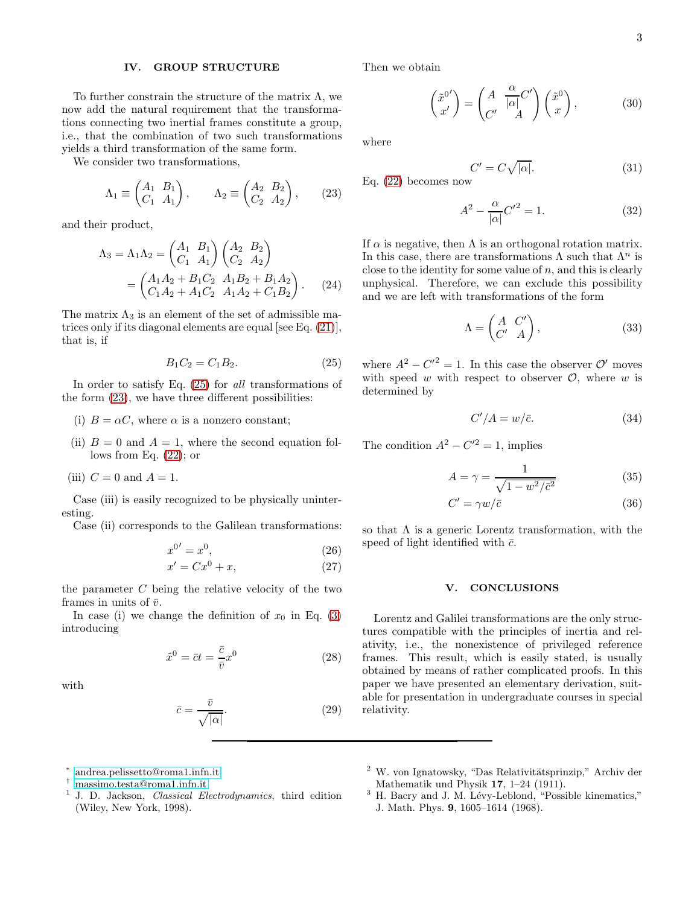## IV. GROUP STRUCTURE

To further constrain the structure of the matrix  $\Lambda$ , we now add the natural requirement that the transformations connecting two inertial frames constitute a group, i.e., that the combination of two such transformations yields a third transformation of the same form.

We consider two transformations,

<span id="page-2-6"></span>
$$
\Lambda_1 \equiv \begin{pmatrix} A_1 & B_1 \\ C_1 & A_1 \end{pmatrix}, \qquad \Lambda_2 \equiv \begin{pmatrix} A_2 & B_2 \\ C_2 & A_2 \end{pmatrix}, \tag{23}
$$

and their product,

$$
\Lambda_3 = \Lambda_1 \Lambda_2 = \begin{pmatrix} A_1 & B_1 \\ C_1 & A_1 \end{pmatrix} \begin{pmatrix} A_2 & B_2 \\ C_2 & A_2 \end{pmatrix}
$$

$$
= \begin{pmatrix} A_1 A_2 + B_1 C_2 & A_1 B_2 + B_1 A_2 \\ C_1 A_2 + A_1 C_2 & A_1 A_2 + C_1 B_2 \end{pmatrix}.
$$
 (24)

The matrix  $\Lambda_3$  is an element of the set of admissible matrices only if its diagonal elements are equal [see Eq. [\(21\)](#page-1-4)], that is, if

<span id="page-2-5"></span>
$$
B_1 C_2 = C_1 B_2. \t\t(25)
$$

In order to satisfy Eq. [\(25\)](#page-2-5) for all transformations of the form [\(23\)](#page-2-6), we have three different possibilities:

- (i)  $B = \alpha C$ , where  $\alpha$  is a nonzero constant;
- (ii)  $B = 0$  and  $A = 1$ , where the second equation follows from Eq. [\(22\)](#page-1-5); or
- (iii)  $C = 0$  and  $A = 1$ .

Case (iii) is easily recognized to be physically uninteresting.

Case (ii) corresponds to the Galilean transformations:

$$
x^{0'} = x^0,\tag{26}
$$

$$
x' = Cx^0 + x,\tag{27}
$$

the parameter  $C$  being the relative velocity of the two frames in units of  $\bar{v}$ .

In case (i) we change the definition of  $x_0$  in Eq. [\(3\)](#page-1-6) introducing

$$
\tilde{x}^0 = \bar{c}t = \frac{\bar{c}}{\bar{v}}x^0
$$
\n(28)

with

$$
\bar{c} = \frac{\bar{v}}{\sqrt{|\alpha|}}.\tag{29}
$$

Then we obtain

$$
\begin{pmatrix} \tilde{x}^{0'} \\ x' \end{pmatrix} = \begin{pmatrix} A & \frac{\alpha}{|\alpha|} C' \\ C' & A \end{pmatrix} \begin{pmatrix} \tilde{x}^{0} \\ x \end{pmatrix},
$$
 (30)

where

$$
C' = C\sqrt{|\alpha|}. \tag{31}
$$

Eq. [\(22\)](#page-1-5) becomes now

$$
A^2 - \frac{\alpha}{|\alpha|}C'^2 = 1.
$$
 (32)

If  $\alpha$  is negative, then  $\Lambda$  is an orthogonal rotation matrix. In this case, there are transformations  $\Lambda$  such that  $\Lambda^n$  is close to the identity for some value of  $n$ , and this is clearly unphysical. Therefore, we can exclude this possibility and we are left with transformations of the form

$$
\Lambda = \begin{pmatrix} A & C' \\ C' & A \end{pmatrix},\tag{33}
$$

where  $A^2 - C'^2 = 1$ . In this case the observer  $\mathcal{O}'$  moves with speed w with respect to observer  $\mathcal{O}$ , where w is determined by

$$
C'/A = w/\bar{c}.
$$
 (34)

The condition  $A^2 - C'^2 = 1$ , implies

$$
A = \gamma = \frac{1}{\sqrt{1 - w^2/\bar{c}^2}}\tag{35}
$$

$$
C' = \gamma w / \bar{c} \tag{36}
$$

so that  $\Lambda$  is a generic Lorentz transformation, with the speed of light identified with  $\bar{c}$ .

### V. CONCLUSIONS

Lorentz and Galilei transformations are the only structures compatible with the principles of inertia and relativity, i.e., the nonexistence of privileged reference frames. This result, which is easily stated, is usually obtained by means of rather complicated proofs. In this paper we have presented an elementary derivation, suitable for presentation in undergraduate courses in special relativity.

- <span id="page-2-0"></span>† [massimo.testa@roma1.infn.it](mailto:massimo.testa@roma1.infn.it)
- <span id="page-2-2"></span><span id="page-2-1"></span>1 J. D. Jackson, *Classical Electrodynamics*, third edition (Wiley, New York, 1998).
- <span id="page-2-3"></span> $2$  W. von Ignatowsky, "Das Relativitätsprinzip," Archiv der Mathematik und Physik 17, 1–24 (1911).
- <span id="page-2-4"></span> $3$  H. Bacry and J. M. Lévy-Leblond, "Possible kinematics," J. Math. Phys. 9, 1605–1614 (1968).

<sup>∗</sup> [andrea.pelissetto@roma1.infn.it](mailto:andrea.pelissetto@roma1.infn.it)